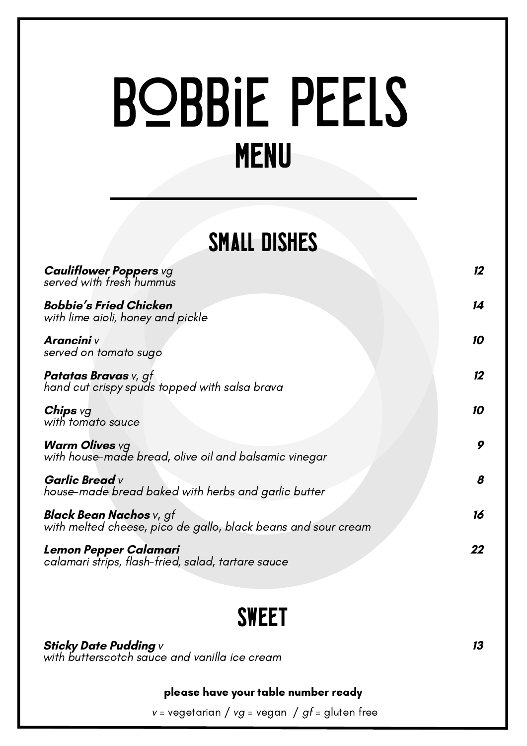**Cauliflower Poppers** vg served with fresh hummus

**Bobbie's Fried Chicken** with lime aioli, honey and pickle

#### **Chips** vg with tomato sauce

**Arancini** v served on tomato sugo

**Patatas Bravas** v, gf hand cut crispy spuds topped with salsa brava

**Warm Olives** vg with house-made bread, olive oil and balsamic vinegar

> please have your table number ready  $v = v$ egetarian /  $vg = v$ egan /  $gf =$  gluten free

**Garlic Bread** v house-made bread baked with herbs and garlic butter

**Black Bean Nachos** v, gf with melted cheese, pico de gallo, black beans and sour cream

**Lemon Pepper Calamari** calamari strips, flash-fried, salad, tartare sauce **12**

**14**

**10**

**12**

**10**

**9**

**8**

**16**

**13**

# **BOBBIE PEELS**

MENU

# SMALL DISHES

**Sticky Date Pudding** v with butterscotch sauce and vanilla ice cream